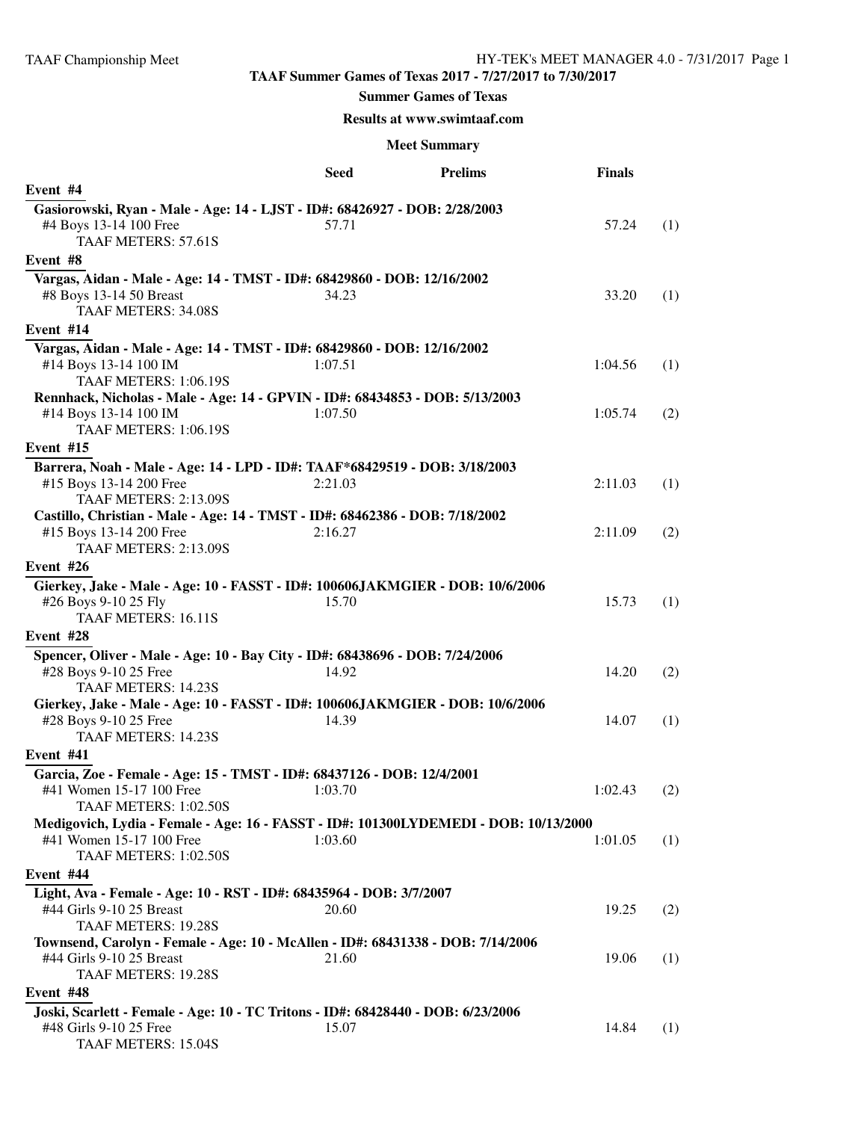## **Summer Games of Texas**

## **Results at www.swimtaaf.com**

|                                                                                                                                     | Seed    | <b>Prelims</b> | <b>Finals</b> |     |
|-------------------------------------------------------------------------------------------------------------------------------------|---------|----------------|---------------|-----|
| Event #4                                                                                                                            |         |                |               |     |
| Gasiorowski, Ryan - Male - Age: 14 - LJST - ID#: 68426927 - DOB: 2/28/2003<br>#4 Boys 13-14 100 Free<br><b>TAAF METERS: 57.61S</b>  | 57.71   |                | 57.24         | (1) |
| Event #8                                                                                                                            |         |                |               |     |
| Vargas, Aidan - Male - Age: 14 - TMST - ID#: 68429860 - DOB: 12/16/2002<br>#8 Boys 13-14 50 Breast<br><b>TAAF METERS: 34.08S</b>    | 34.23   |                | 33.20         | (1) |
| Event #14                                                                                                                           |         |                |               |     |
| Vargas, Aidan - Male - Age: 14 - TMST - ID#: 68429860 - DOB: 12/16/2002<br>#14 Boys 13-14 100 IM<br>TAAF METERS: 1:06.19S           | 1:07.51 |                | 1:04.56       | (1) |
| Rennhack, Nicholas - Male - Age: 14 - GPVIN - ID#: 68434853 - DOB: 5/13/2003                                                        |         |                |               |     |
| #14 Boys 13-14 100 IM<br><b>TAAF METERS: 1:06.19S</b>                                                                               | 1:07.50 |                | 1:05.74       | (2) |
| Event #15                                                                                                                           |         |                |               |     |
| Barrera, Noah - Male - Age: 14 - LPD - ID#: TAAF*68429519 - DOB: 3/18/2003<br>#15 Boys 13-14 200 Free<br>TAAF METERS: 2:13.09S      | 2:21.03 |                | 2:11.03       | (1) |
| Castillo, Christian - Male - Age: 14 - TMST - ID#: 68462386 - DOB: 7/18/2002                                                        |         |                |               |     |
| #15 Boys 13-14 200 Free<br><b>TAAF METERS: 2:13.09S</b>                                                                             | 2:16.27 |                | 2:11.09       | (2) |
| Event #26                                                                                                                           |         |                |               |     |
| Gierkey, Jake - Male - Age: 10 - FASST - ID#: 100606JAKMGIER - DOB: 10/6/2006<br>#26 Boys 9-10 25 Fly<br><b>TAAF METERS: 16.11S</b> | 15.70   |                | 15.73         | (1) |
| Event #28                                                                                                                           |         |                |               |     |
| Spencer, Oliver - Male - Age: 10 - Bay City - ID#: 68438696 - DOB: 7/24/2006<br>#28 Boys 9-10 25 Free<br><b>TAAF METERS: 14.23S</b> | 14.92   |                | 14.20         | (2) |
| Gierkey, Jake - Male - Age: 10 - FASST - ID#: 100606JAKMGIER - DOB: 10/6/2006                                                       |         |                |               |     |
| #28 Boys 9-10 25 Free<br><b>TAAF METERS: 14.23S</b>                                                                                 | 14.39   |                | 14.07         | (1) |
| Event #41                                                                                                                           |         |                |               |     |
| Garcia, Zoe - Female - Age: 15 - TMST - ID#: 68437126 - DOB: 12/4/2001<br>#41 Women 15-17 100 Free<br>TAAF METERS: 1:02.50S         | 1:03.70 |                | 1:02.43       | (2) |
| Medigovich, Lydia - Female - Age: 16 - FASST - ID#: 101300LYDEMEDI - DOB: 10/13/2000                                                |         |                |               |     |
| #41 Women 15-17 100 Free<br>TAAF METERS: 1:02.50S                                                                                   | 1:03.60 |                | 1:01.05       | (1) |
| Event #44                                                                                                                           |         |                |               |     |
| Light, Ava - Female - Age: 10 - RST - ID#: 68435964 - DOB: 3/7/2007<br>#44 Girls 9-10 25 Breast<br>TAAF METERS: 19.28S              | 20.60   |                | 19.25         | (2) |
| Townsend, Carolyn - Female - Age: 10 - McAllen - ID#: 68431338 - DOB: 7/14/2006                                                     |         |                |               |     |
| #44 Girls 9-10 25 Breast<br>TAAF METERS: 19.28S                                                                                     | 21.60   |                | 19.06         | (1) |
| Event #48                                                                                                                           |         |                |               |     |
| Joski, Scarlett - Female - Age: 10 - TC Tritons - ID#: 68428440 - DOB: 6/23/2006<br>#48 Girls 9-10 25 Free<br>TAAF METERS: 15.04S   | 15.07   |                | 14.84         | (1) |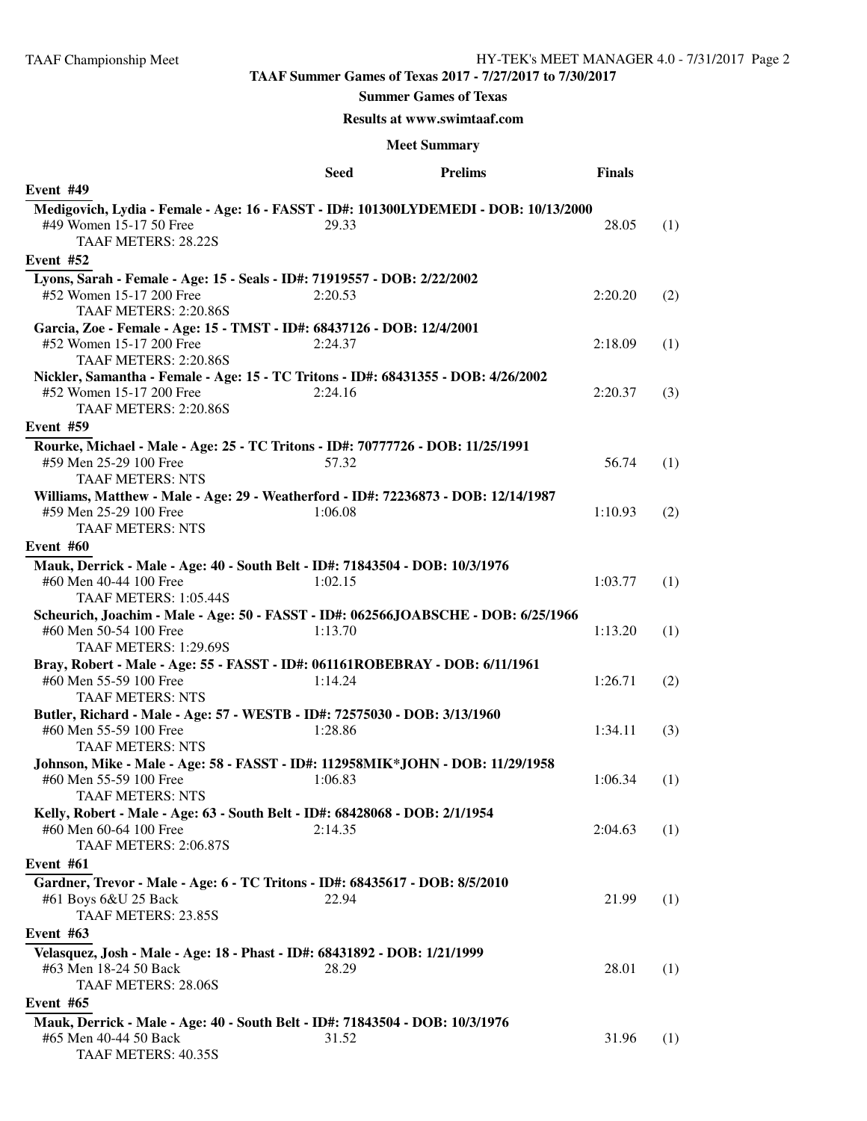### **Summer Games of Texas**

## **Results at www.swimtaaf.com**

|                                                                                      | <b>Seed</b> | <b>Prelims</b> | <b>Finals</b> |     |
|--------------------------------------------------------------------------------------|-------------|----------------|---------------|-----|
| Event #49                                                                            |             |                |               |     |
| Medigovich, Lydia - Female - Age: 16 - FASST - ID#: 101300LYDEMEDI - DOB: 10/13/2000 |             |                |               |     |
| #49 Women 15-17 50 Free<br>TAAF METERS: 28.22S                                       | 29.33       |                | 28.05         | (1) |
| Event #52                                                                            |             |                |               |     |
| Lyons, Sarah - Female - Age: 15 - Seals - ID#: 71919557 - DOB: 2/22/2002             |             |                |               |     |
| #52 Women 15-17 200 Free                                                             | 2:20.53     |                | 2:20.20       | (2) |
| TAAF METERS: 2:20.86S                                                                |             |                |               |     |
| Garcia, Zoe - Female - Age: 15 - TMST - ID#: 68437126 - DOB: 12/4/2001               |             |                |               |     |
| #52 Women 15-17 200 Free                                                             | 2:24.37     |                | 2:18.09       | (1) |
| TAAF METERS: 2:20.86S                                                                |             |                |               |     |
| Nickler, Samantha - Female - Age: 15 - TC Tritons - ID#: 68431355 - DOB: 4/26/2002   |             |                |               |     |
| #52 Women 15-17 200 Free                                                             | 2:24.16     |                | 2:20.37       | (3) |
| TAAF METERS: 2:20.86S                                                                |             |                |               |     |
| Event #59                                                                            |             |                |               |     |
| Rourke, Michael - Male - Age: 25 - TC Tritons - ID#: 70777726 - DOB: 11/25/1991      |             |                |               |     |
| #59 Men 25-29 100 Free                                                               | 57.32       |                | 56.74         | (1) |
| <b>TAAF METERS: NTS</b>                                                              |             |                |               |     |
| Williams, Matthew - Male - Age: 29 - Weatherford - ID#: 72236873 - DOB: 12/14/1987   |             |                |               |     |
| #59 Men 25-29 100 Free                                                               | 1:06.08     |                | 1:10.93       | (2) |
| <b>TAAF METERS: NTS</b>                                                              |             |                |               |     |
| Event #60                                                                            |             |                |               |     |
| Mauk, Derrick - Male - Age: 40 - South Belt - ID#: 71843504 - DOB: 10/3/1976         |             |                |               |     |
| #60 Men 40-44 100 Free                                                               | 1:02.15     |                | 1:03.77       | (1) |
| TAAF METERS: 1:05.44S                                                                |             |                |               |     |
| Scheurich, Joachim - Male - Age: 50 - FASST - ID#: 062566JOABSCHE - DOB: 6/25/1966   |             |                |               |     |
| #60 Men 50-54 100 Free                                                               | 1:13.70     |                | 1:13.20       | (1) |
| TAAF METERS: 1:29.69S                                                                |             |                |               |     |
| Bray, Robert - Male - Age: 55 - FASST - ID#: 061161ROBEBRAY - DOB: 6/11/1961         |             |                |               |     |
| #60 Men 55-59 100 Free                                                               | 1:14.24     |                | 1:26.71       | (2) |
| <b>TAAF METERS: NTS</b>                                                              |             |                |               |     |
| Butler, Richard - Male - Age: 57 - WESTB - ID#: 72575030 - DOB: 3/13/1960            |             |                |               |     |
| #60 Men 55-59 100 Free                                                               | 1:28.86     |                | 1:34.11       | (3) |
| <b>TAAF METERS: NTS</b>                                                              |             |                |               |     |
| Johnson, Mike - Male - Age: 58 - FASST - ID#: 112958MIK*JOHN - DOB: 11/29/1958       |             |                |               |     |
| #60 Men 55-59 100 Free                                                               | 1:06.83     |                | 1:06.34       | (1) |
| <b>TAAF METERS: NTS</b>                                                              |             |                |               |     |
| Kelly, Robert - Male - Age: 63 - South Belt - ID#: 68428068 - DOB: 2/1/1954          |             |                |               |     |
| #60 Men 60-64 100 Free                                                               | 2:14.35     |                | 2:04.63       | (1) |
| TAAF METERS: 2:06.87S                                                                |             |                |               |     |
| Event #61                                                                            |             |                |               |     |
| Gardner, Trevor - Male - Age: 6 - TC Tritons - ID#: 68435617 - DOB: 8/5/2010         |             |                |               |     |
| #61 Boys 6&U 25 Back                                                                 | 22.94       |                | 21.99         | (1) |
| TAAF METERS: 23.85S                                                                  |             |                |               |     |
| Event #63                                                                            |             |                |               |     |
| Velasquez, Josh - Male - Age: 18 - Phast - ID#: 68431892 - DOB: 1/21/1999            |             |                |               |     |
| #63 Men 18-24 50 Back                                                                | 28.29       |                | 28.01         | (1) |
| <b>TAAF METERS: 28.06S</b>                                                           |             |                |               |     |
| Event #65                                                                            |             |                |               |     |
| Mauk, Derrick - Male - Age: 40 - South Belt - ID#: 71843504 - DOB: 10/3/1976         |             |                |               |     |
| #65 Men 40-44 50 Back                                                                | 31.52       |                | 31.96         | (1) |
| TAAF METERS: 40.35S                                                                  |             |                |               |     |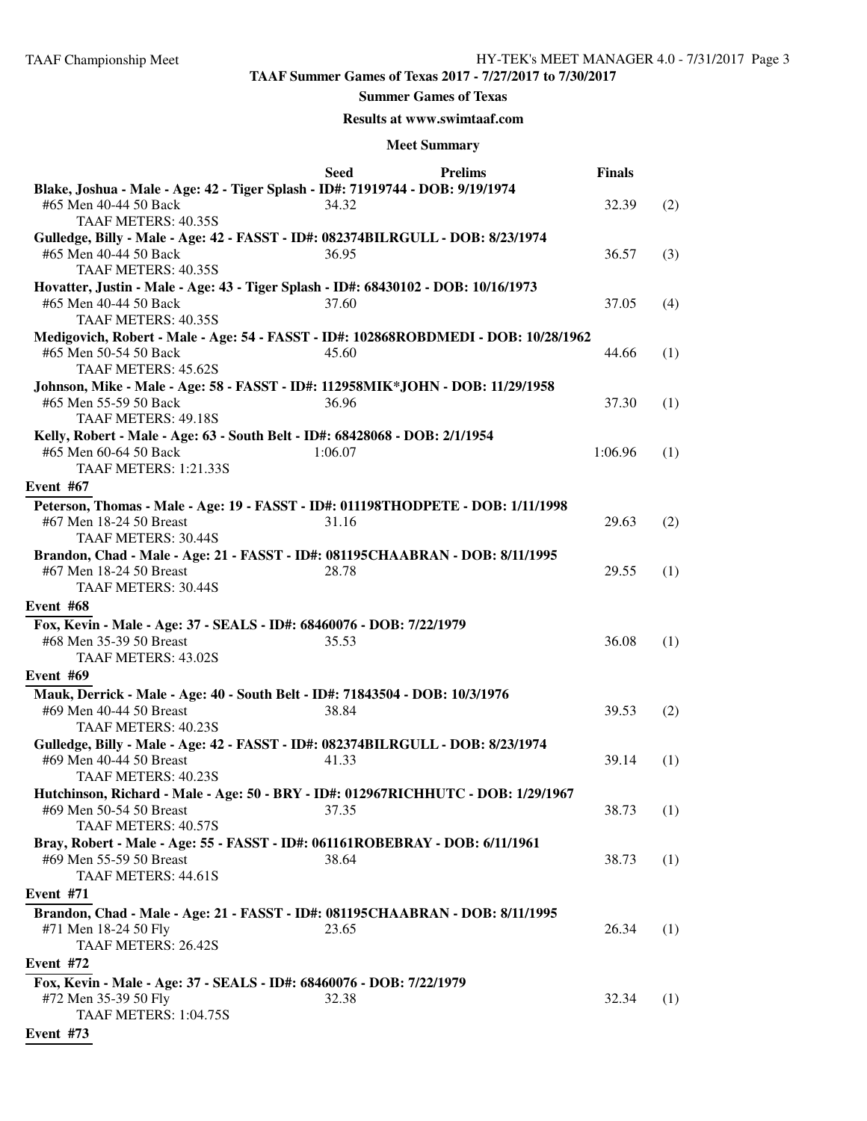#### **Summer Games of Texas**

## **Results at www.swimtaaf.com**

|                                                                                                                                | <b>Seed</b> | <b>Prelims</b> | <b>Finals</b> |     |
|--------------------------------------------------------------------------------------------------------------------------------|-------------|----------------|---------------|-----|
| Blake, Joshua - Male - Age: 42 - Tiger Splash - ID#: 71919744 - DOB: 9/19/1974<br>#65 Men 40-44 50 Back<br>TAAF METERS: 40.35S | 34.32       |                | 32.39         | (2) |
| Gulledge, Billy - Male - Age: 42 - FASST - ID#: 082374BILRGULL - DOB: 8/23/1974                                                |             |                |               |     |
| #65 Men 40-44 50 Back<br>TAAF METERS: 40.35S                                                                                   | 36.95       |                | 36.57         | (3) |
| Hovatter, Justin - Male - Age: 43 - Tiger Splash - ID#: 68430102 - DOB: 10/16/1973                                             |             |                |               |     |
| #65 Men 40-44 50 Back<br>TAAF METERS: 40.35S                                                                                   | 37.60       |                | 37.05         | (4) |
| Medigovich, Robert - Male - Age: 54 - FASST - ID#: 102868ROBDMEDI - DOB: 10/28/1962                                            |             |                |               |     |
| #65 Men 50-54 50 Back<br>TAAF METERS: 45.62S                                                                                   | 45.60       |                | 44.66         | (1) |
| Johnson, Mike - Male - Age: 58 - FASST - ID#: 112958MIK*JOHN - DOB: 11/29/1958                                                 |             |                |               |     |
| #65 Men 55-59 50 Back<br><b>TAAF METERS: 49.18S</b>                                                                            | 36.96       |                | 37.30         | (1) |
| Kelly, Robert - Male - Age: 63 - South Belt - ID#: 68428068 - DOB: 2/1/1954                                                    |             |                |               |     |
| #65 Men 60-64 50 Back<br>TAAF METERS: 1:21.33S                                                                                 | 1:06.07     |                | 1:06.96       | (1) |
| Event #67                                                                                                                      |             |                |               |     |
| Peterson, Thomas - Male - Age: 19 - FASST - ID#: 011198THODPETE - DOB: 1/11/1998                                               |             |                |               |     |
| #67 Men 18-24 50 Breast                                                                                                        | 31.16       |                | 29.63         | (2) |
| <b>TAAF METERS: 30.44S</b>                                                                                                     |             |                |               |     |
| Brandon, Chad - Male - Age: 21 - FASST - ID#: 081195CHAABRAN - DOB: 8/11/1995                                                  |             |                |               |     |
| #67 Men 18-24 50 Breast                                                                                                        | 28.78       |                | 29.55         | (1) |
| TAAF METERS: 30.44S                                                                                                            |             |                |               |     |
| Event #68                                                                                                                      |             |                |               |     |
| Fox, Kevin - Male - Age: 37 - SEALS - ID#: 68460076 - DOB: 7/22/1979                                                           |             |                |               |     |
| #68 Men 35-39 50 Breast<br><b>TAAF METERS: 43.02S</b>                                                                          | 35.53       |                | 36.08         | (1) |
| Event #69                                                                                                                      |             |                |               |     |
|                                                                                                                                |             |                |               |     |
| Mauk, Derrick - Male - Age: 40 - South Belt - ID#: 71843504 - DOB: 10/3/1976<br>#69 Men 40-44 50 Breast                        | 38.84       |                | 39.53         | (2) |
| TAAF METERS: 40.23S                                                                                                            |             |                |               |     |
| Gulledge, Billy - Male - Age: 42 - FASST - ID#: 082374BILRGULL - DOB: 8/23/1974                                                |             |                |               |     |
| #69 Men 40-44 50 Breast                                                                                                        | 41.33       |                | 39.14         | (1) |
| TAAF METERS: 40.23S                                                                                                            |             |                |               |     |
| Hutchinson, Richard - Male - Age: 50 - BRY - ID#: 012967RICHHUTC - DOB: 1/29/1967                                              |             |                |               |     |
| #69 Men 50-54 50 Breast                                                                                                        | 37.35       |                | 38.73         | (1) |
| TAAF METERS: 40.57S                                                                                                            |             |                |               |     |
| Bray, Robert - Male - Age: 55 - FASST - ID#: 061161ROBEBRAY - DOB: 6/11/1961<br>#69 Men 55-59 50 Breast                        | 38.64       |                | 38.73         |     |
| TAAF METERS: 44.61S                                                                                                            |             |                |               | (1) |
| Event #71                                                                                                                      |             |                |               |     |
|                                                                                                                                |             |                |               |     |
| Brandon, Chad - Male - Age: 21 - FASST - ID#: 081195CHAABRAN - DOB: 8/11/1995<br>#71 Men 18-24 50 Fly                          | 23.65       |                | 26.34         | (1) |
| <b>TAAF METERS: 26.42S</b>                                                                                                     |             |                |               |     |
| Event #72                                                                                                                      |             |                |               |     |
| Fox, Kevin - Male - Age: 37 - SEALS - ID#: 68460076 - DOB: 7/22/1979                                                           |             |                |               |     |
| #72 Men 35-39 50 Fly                                                                                                           | 32.38       |                | 32.34         | (1) |
| TAAF METERS: 1:04.75S                                                                                                          |             |                |               |     |
| Event #73                                                                                                                      |             |                |               |     |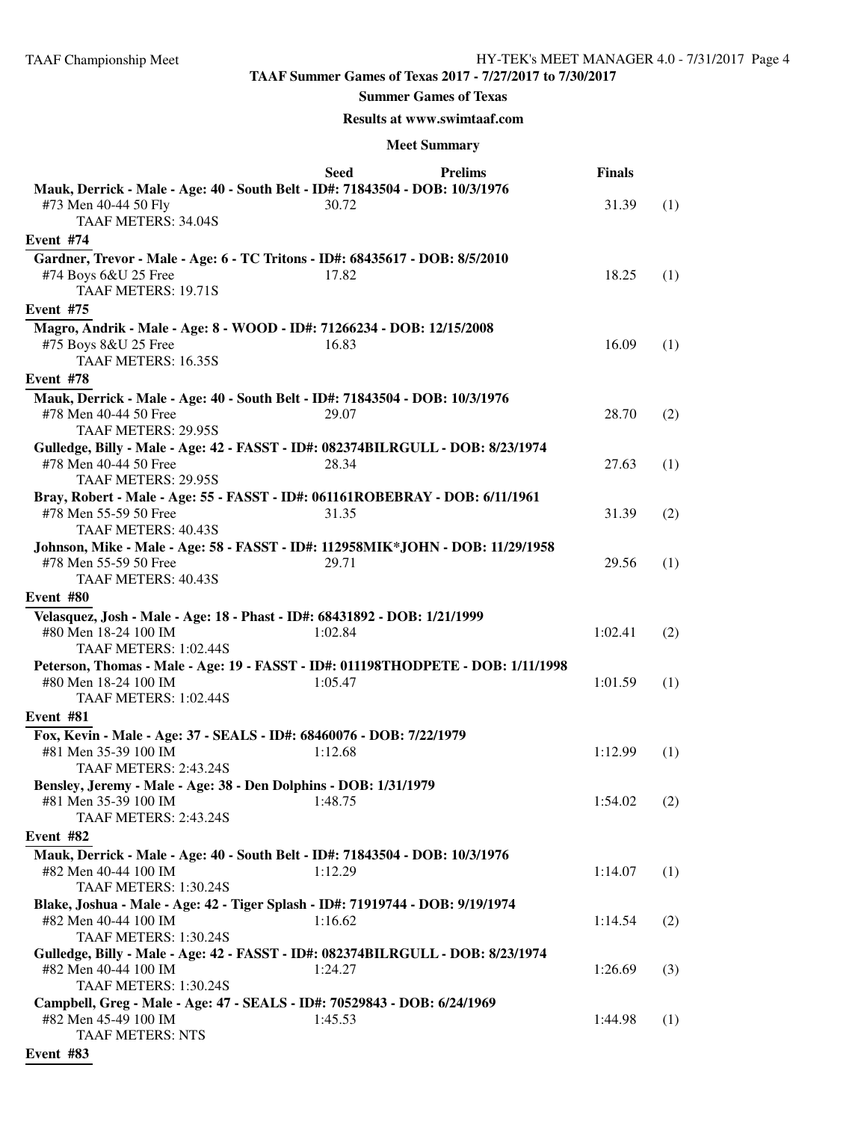#### **Summer Games of Texas**

#### **Results at www.swimtaaf.com**

|                                                                                                                                        | Seed    | <b>Prelims</b> | <b>Finals</b> |     |
|----------------------------------------------------------------------------------------------------------------------------------------|---------|----------------|---------------|-----|
| Mauk, Derrick - Male - Age: 40 - South Belt - ID#: 71843504 - DOB: 10/3/1976<br>#73 Men 40-44 50 Fly<br><b>TAAF METERS: 34.04S</b>     | 30.72   |                | 31.39         | (1) |
| Event #74                                                                                                                              |         |                |               |     |
| Gardner, Trevor - Male - Age: 6 - TC Tritons - ID#: 68435617 - DOB: 8/5/2010<br>#74 Boys 6&U 25 Free<br>TAAF METERS: 19.71S            | 17.82   |                | 18.25         | (1) |
| Event #75                                                                                                                              |         |                |               |     |
| Magro, Andrik - Male - Age: 8 - WOOD - ID#: 71266234 - DOB: 12/15/2008<br>#75 Boys 8&U 25 Free<br>TAAF METERS: 16.35S                  | 16.83   |                | 16.09         | (1) |
| Event #78                                                                                                                              |         |                |               |     |
| Mauk, Derrick - Male - Age: 40 - South Belt - ID#: 71843504 - DOB: 10/3/1976<br>#78 Men 40-44 50 Free<br>TAAF METERS: 29.95S           | 29.07   |                | 28.70         | (2) |
| Gulledge, Billy - Male - Age: 42 - FASST - ID#: 082374BILRGULL - DOB: 8/23/1974<br>#78 Men 40-44 50 Free<br><b>TAAF METERS: 29.95S</b> | 28.34   |                | 27.63         | (1) |
| Bray, Robert - Male - Age: 55 - FASST - ID#: 061161ROBEBRAY - DOB: 6/11/1961<br>#78 Men 55-59 50 Free<br><b>TAAF METERS: 40.43S</b>    | 31.35   |                | 31.39         | (2) |
| Johnson, Mike - Male - Age: 58 - FASST - ID#: 112958MIK*JOHN - DOB: 11/29/1958<br>#78 Men 55-59 50 Free<br><b>TAAF METERS: 40.43S</b>  | 29.71   |                | 29.56         | (1) |
| Event #80                                                                                                                              |         |                |               |     |
| Velasquez, Josh - Male - Age: 18 - Phast - ID#: 68431892 - DOB: 1/21/1999<br>#80 Men 18-24 100 IM<br>TAAF METERS: 1:02.44S             | 1:02.84 |                | 1:02.41       | (2) |
| Peterson, Thomas - Male - Age: 19 - FASST - ID#: 011198THODPETE - DOB: 1/11/1998<br>#80 Men 18-24 100 IM<br>TAAF METERS: 1:02.44S      | 1:05.47 |                | 1:01.59       | (1) |
| Event #81                                                                                                                              |         |                |               |     |
| Fox, Kevin - Male - Age: 37 - SEALS - ID#: 68460076 - DOB: 7/22/1979                                                                   |         |                |               |     |
| #81 Men 35-39 100 IM<br>TAAF METERS: 2:43.24S                                                                                          | 1:12.68 |                | 1:12.99       | (1) |
| Bensley, Jeremy - Male - Age: 38 - Den Dolphins - DOB: 1/31/1979<br>#81 Men 35-39 100 IM<br><b>TAAF METERS: 2:43.24S</b>               | 1:48.75 |                | 1:54.02       | (2) |
| Event #82                                                                                                                              |         |                |               |     |
| Mauk, Derrick - Male - Age: 40 - South Belt - ID#: 71843504 - DOB: 10/3/1976<br>#82 Men 40-44 100 IM<br>TAAF METERS: 1:30.24S          | 1:12.29 |                | 1:14.07       | (1) |
| Blake, Joshua - Male - Age: 42 - Tiger Splash - ID#: 71919744 - DOB: 9/19/1974                                                         |         |                |               |     |
| #82 Men 40-44 100 IM<br>TAAF METERS: 1:30.24S                                                                                          | 1:16.62 |                | 1:14.54       | (2) |
| Gulledge, Billy - Male - Age: 42 - FASST - ID#: 082374BILRGULL - DOB: 8/23/1974                                                        |         |                |               |     |
| #82 Men 40-44 100 IM<br>TAAF METERS: 1:30.24S                                                                                          | 1:24.27 |                | 1:26.69       | (3) |
| Campbell, Greg - Male - Age: 47 - SEALS - ID#: 70529843 - DOB: 6/24/1969<br>#82 Men 45-49 100 IM<br><b>TAAF METERS: NTS</b>            | 1:45.53 |                | 1:44.98       | (1) |
| Event #83                                                                                                                              |         |                |               |     |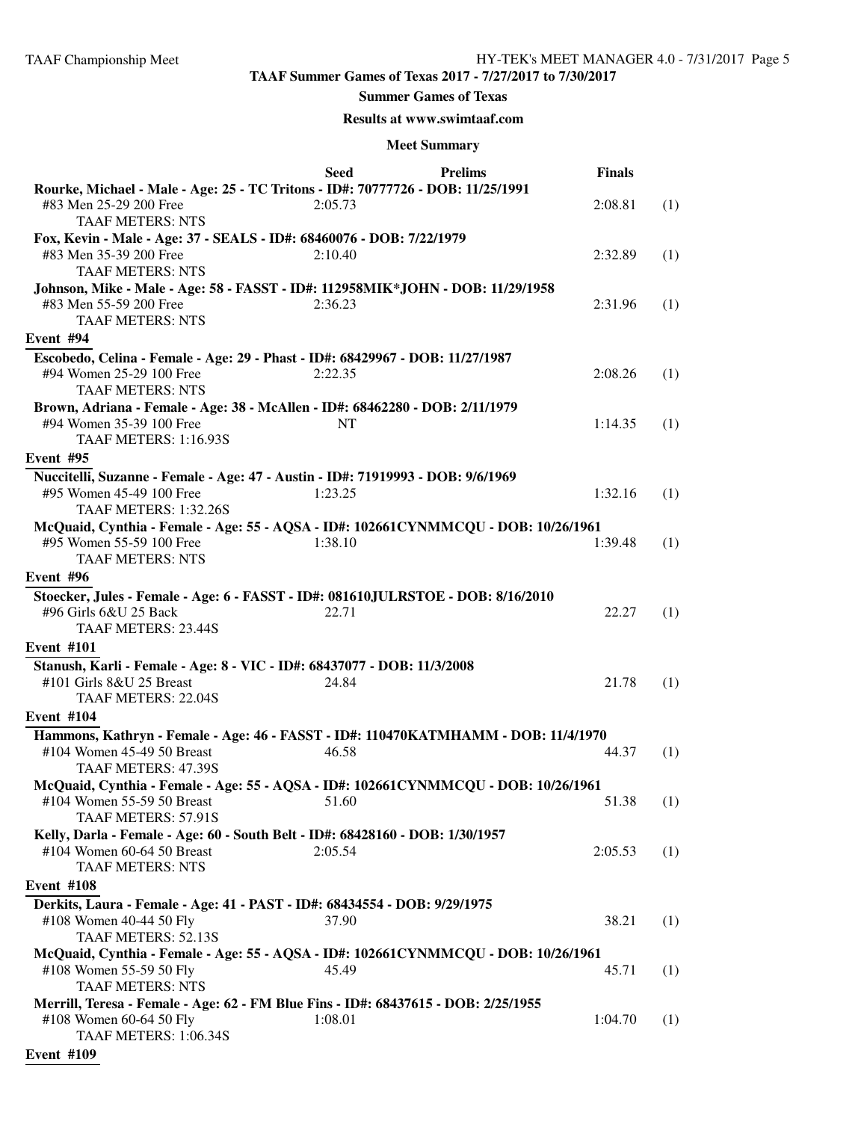#### **Summer Games of Texas**

#### **Results at www.swimtaaf.com**

|                                                                                                                                          | <b>Seed</b> | <b>Prelims</b> | <b>Finals</b> |     |
|------------------------------------------------------------------------------------------------------------------------------------------|-------------|----------------|---------------|-----|
| Rourke, Michael - Male - Age: 25 - TC Tritons - ID#: 70777726 - DOB: 11/25/1991<br>#83 Men 25-29 200 Free                                | 2:05.73     |                | 2:08.81       | (1) |
| <b>TAAF METERS: NTS</b>                                                                                                                  |             |                |               |     |
| Fox, Kevin - Male - Age: 37 - SEALS - ID#: 68460076 - DOB: 7/22/1979<br>#83 Men 35-39 200 Free<br><b>TAAF METERS: NTS</b>                | 2:10.40     |                | 2:32.89       | (1) |
| Johnson, Mike - Male - Age: 58 - FASST - ID#: 112958MIK*JOHN - DOB: 11/29/1958                                                           |             |                |               |     |
| #83 Men 55-59 200 Free<br><b>TAAF METERS: NTS</b>                                                                                        | 2:36.23     |                | 2:31.96       | (1) |
| Event #94                                                                                                                                |             |                |               |     |
| Escobedo, Celina - Female - Age: 29 - Phast - ID#: 68429967 - DOB: 11/27/1987                                                            |             |                |               |     |
| #94 Women 25-29 100 Free<br><b>TAAF METERS: NTS</b>                                                                                      | 2:22.35     |                | 2:08.26       | (1) |
| Brown, Adriana - Female - Age: 38 - McAllen - ID#: 68462280 - DOB: 2/11/1979<br>#94 Women 35-39 100 Free<br><b>TAAF METERS: 1:16.93S</b> | <b>NT</b>   |                | 1:14.35       | (1) |
| Event #95                                                                                                                                |             |                |               |     |
| Nuccitelli, Suzanne - Female - Age: 47 - Austin - ID#: 71919993 - DOB: 9/6/1969                                                          |             |                |               |     |
| #95 Women 45-49 100 Free<br>TAAF METERS: 1:32.26S                                                                                        | 1:23.25     |                | 1:32.16       | (1) |
| McQuaid, Cynthia - Female - Age: 55 - AQSA - ID#: 102661CYNMMCQU - DOB: 10/26/1961                                                       |             |                |               |     |
| #95 Women 55-59 100 Free<br><b>TAAF METERS: NTS</b>                                                                                      | 1:38.10     |                | 1:39.48       | (1) |
| Event #96                                                                                                                                |             |                |               |     |
| Stoecker, Jules - Female - Age: 6 - FASST - ID#: 081610JULRSTOE - DOB: 8/16/2010<br>#96 Girls 6&U 25 Back<br>TAAF METERS: 23.44S         | 22.71       |                | 22.27         | (1) |
| <b>Event #101</b>                                                                                                                        |             |                |               |     |
| Stanush, Karli - Female - Age: 8 - VIC - ID#: 68437077 - DOB: 11/3/2008                                                                  |             |                |               |     |
| #101 Girls 8&U 25 Breast                                                                                                                 | 24.84       |                | 21.78         | (1) |
| TAAF METERS: 22.04S                                                                                                                      |             |                |               |     |
| <b>Event #104</b>                                                                                                                        |             |                |               |     |
| Hammons, Kathryn - Female - Age: 46 - FASST - ID#: 110470KATMHAMM - DOB: 11/4/1970                                                       |             |                |               |     |
| #104 Women 45-49 50 Breast<br>TAAF METERS: 47.39S                                                                                        | 46.58       |                | 44.37         | (1) |
| McQuaid, Cynthia - Female - Age: 55 - AQSA - ID#: 102661CYNMMCQU - DOB: 10/26/1961                                                       |             |                |               |     |
| #104 Women 55-59 50 Breast<br>TAAF METERS: 57.91S                                                                                        | 51.60       |                | 51.38         | (1) |
| Kelly, Darla - Female - Age: 60 - South Belt - ID#: 68428160 - DOB: 1/30/1957                                                            |             |                |               |     |
| #104 Women 60-64 50 Breast<br><b>TAAF METERS: NTS</b>                                                                                    | 2:05.54     |                | 2:05.53       | (1) |
| <b>Event #108</b>                                                                                                                        |             |                |               |     |
| Derkits, Laura - Female - Age: 41 - PAST - ID#: 68434554 - DOB: 9/29/1975<br>#108 Women 40-44 50 Fly<br><b>TAAF METERS: 52.13S</b>       | 37.90       |                | 38.21         | (1) |
| McQuaid, Cynthia - Female - Age: 55 - AQSA - ID#: 102661CYNMMCQU - DOB: 10/26/1961                                                       |             |                |               |     |
| #108 Women 55-59 50 Fly<br><b>TAAF METERS: NTS</b>                                                                                       | 45.49       |                | 45.71         | (1) |
| Merrill, Teresa - Female - Age: 62 - FM Blue Fins - ID#: 68437615 - DOB: 2/25/1955                                                       |             |                |               |     |
| #108 Women 60-64 50 Fly<br>TAAF METERS: 1:06.34S                                                                                         | 1:08.01     |                | 1:04.70       | (1) |
| <b>Event #109</b>                                                                                                                        |             |                |               |     |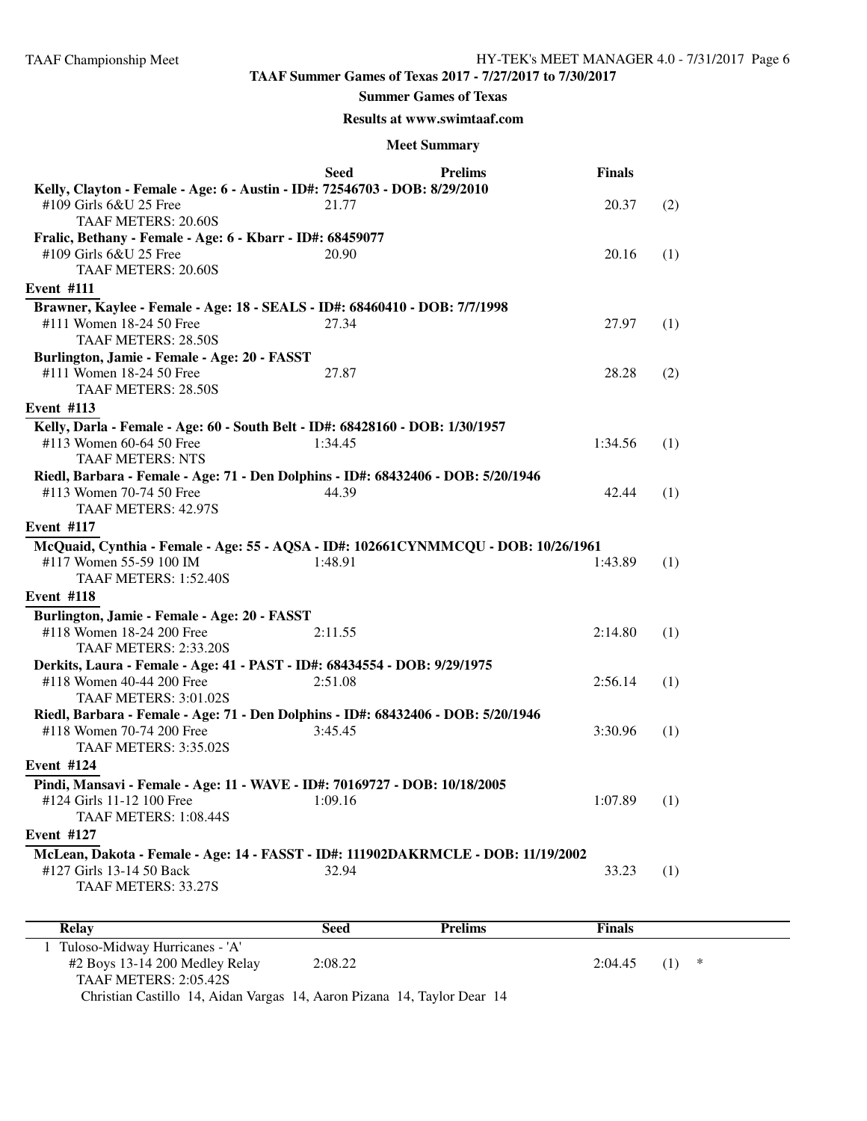#### **Summer Games of Texas**

#### **Results at www.swimtaaf.com**

#### **Meet Summary**

|                                                                                                        | <b>Seed</b> | <b>Prelims</b> | <b>Finals</b> |     |
|--------------------------------------------------------------------------------------------------------|-------------|----------------|---------------|-----|
| Kelly, Clayton - Female - Age: 6 - Austin - ID#: 72546703 - DOB: 8/29/2010                             |             |                |               |     |
| #109 Girls 6&U 25 Free                                                                                 | 21.77       |                | 20.37         | (2) |
| TAAF METERS: 20.60S                                                                                    |             |                |               |     |
| Fralic, Bethany - Female - Age: 6 - Kbarr - ID#: 68459077                                              |             |                |               |     |
| #109 Girls 6&U 25 Free<br>TAAF METERS: 20.60S                                                          | 20.90       |                | 20.16         | (1) |
|                                                                                                        |             |                |               |     |
| <b>Event #111</b>                                                                                      |             |                |               |     |
| Brawner, Kaylee - Female - Age: 18 - SEALS - ID#: 68460410 - DOB: 7/7/1998                             |             |                |               |     |
| #111 Women 18-24 50 Free<br>TAAF METERS: 28.50S                                                        | 27.34       |                | 27.97         | (1) |
| Burlington, Jamie - Female - Age: 20 - FASST                                                           |             |                |               |     |
| #111 Women 18-24 50 Free                                                                               | 27.87       |                | 28.28         | (2) |
| TAAF METERS: 28.50S                                                                                    |             |                |               |     |
| <b>Event #113</b>                                                                                      |             |                |               |     |
| Kelly, Darla - Female - Age: 60 - South Belt - ID#: 68428160 - DOB: 1/30/1957                          |             |                |               |     |
| #113 Women 60-64 50 Free                                                                               | 1:34.45     |                | 1:34.56       | (1) |
| <b>TAAF METERS: NTS</b>                                                                                |             |                |               |     |
| Riedl, Barbara - Female - Age: 71 - Den Dolphins - ID#: 68432406 - DOB: 5/20/1946                      |             |                |               |     |
| #113 Women 70-74 50 Free                                                                               | 44.39       |                | 42.44         | (1) |
| TAAF METERS: 42.97S                                                                                    |             |                |               |     |
| <b>Event #117</b>                                                                                      |             |                |               |     |
| McQuaid, Cynthia - Female - Age: 55 - AQSA - ID#: 102661CYNMMCQU - DOB: 10/26/1961                     |             |                |               |     |
| #117 Women 55-59 100 IM                                                                                | 1:48.91     |                | 1:43.89       | (1) |
| TAAF METERS: 1:52.40S                                                                                  |             |                |               |     |
| <b>Event #118</b>                                                                                      |             |                |               |     |
| Burlington, Jamie - Female - Age: 20 - FASST                                                           |             |                |               |     |
| #118 Women 18-24 200 Free                                                                              | 2:11.55     |                | 2:14.80       | (1) |
| TAAF METERS: 2:33.20S                                                                                  |             |                |               |     |
| Derkits, Laura - Female - Age: 41 - PAST - ID#: 68434554 - DOB: 9/29/1975<br>#118 Women 40-44 200 Free |             |                |               |     |
| TAAF METERS: 3:01.02S                                                                                  | 2:51.08     |                | 2:56.14       | (1) |
| Riedl, Barbara - Female - Age: 71 - Den Dolphins - ID#: 68432406 - DOB: 5/20/1946                      |             |                |               |     |
| #118 Women 70-74 200 Free                                                                              | 3:45.45     |                | 3:30.96       | (1) |
| TAAF METERS: 3:35.02S                                                                                  |             |                |               |     |
| <b>Event #124</b>                                                                                      |             |                |               |     |
| Pindi, Mansavi - Female - Age: 11 - WAVE - ID#: 70169727 - DOB: 10/18/2005                             |             |                |               |     |
| #124 Girls 11-12 100 Free 1:09.16                                                                      |             |                | $1:07.89$ (1) |     |
| TAAF METERS: 1:08.44S                                                                                  |             |                |               |     |
| <b>Event #127</b>                                                                                      |             |                |               |     |
| McLean, Dakota - Female - Age: 14 - FASST - ID#: 111902DAKRMCLE - DOB: 11/19/2002                      |             |                |               |     |
| #127 Girls 13-14 50 Back                                                                               | 32.94       |                | 33.23         | (1) |
| <b>TAAF METERS: 33.27S</b>                                                                             |             |                |               |     |
|                                                                                                        |             |                |               |     |
| <b>Relay</b>                                                                                           | <b>Seed</b> | <b>Prelims</b> | <b>Finals</b> |     |
|                                                                                                        |             |                |               |     |

1 Tuloso-Midway Hurricanes - 'A' #2 Boys 13-14 200 Medley Relay 2:08.22 2:04.45 (1) \* TAAF METERS: 2:05.42S Christian Castillo 14, Aidan Vargas 14, Aaron Pizana 14, Taylor Dear 14